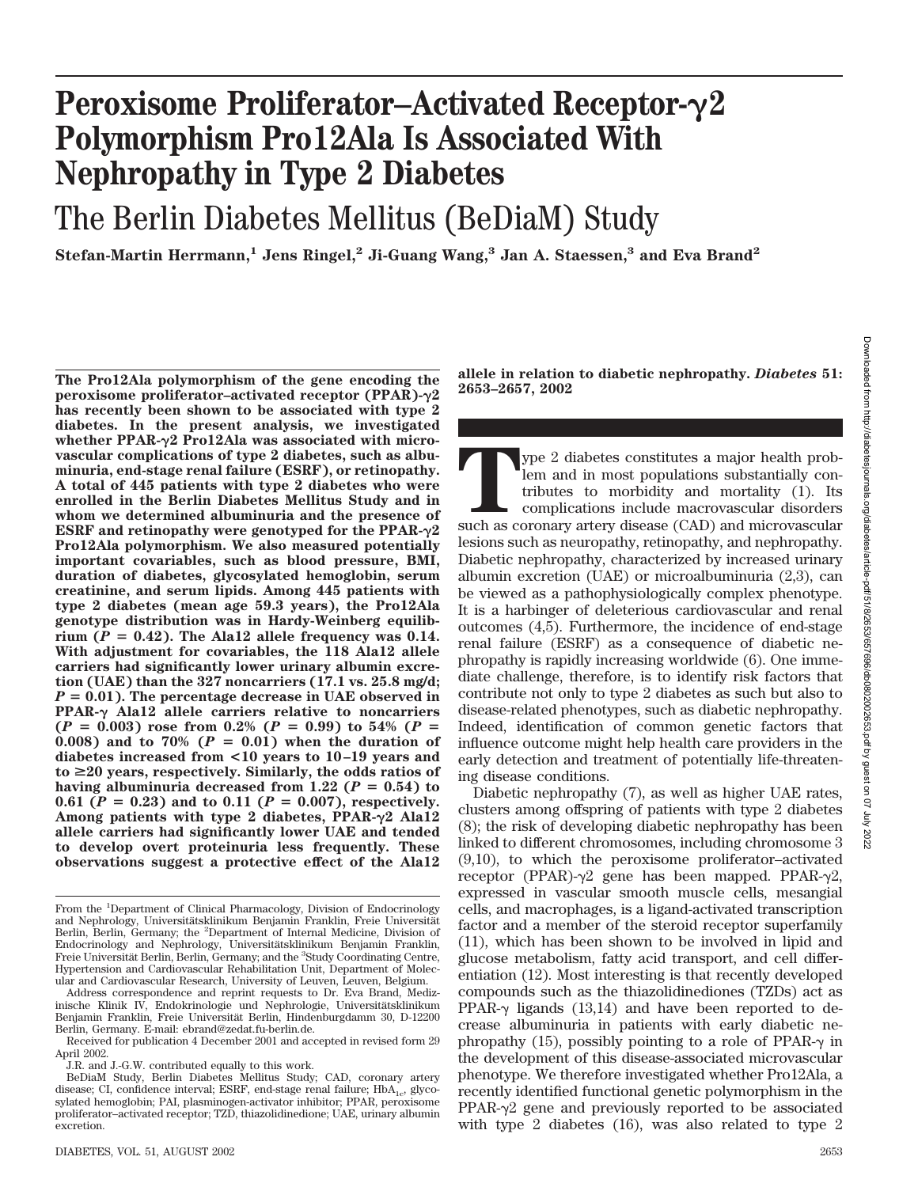# **Peroxisome Proliferator–Activated Receptor-2 Polymorphism Pro12Ala Is Associated With Nephropathy in Type 2 Diabetes**

# The Berlin Diabetes Mellitus (BeDiaM) Study

**Stefan-Martin Herrmann,1 Jens Ringel,2 Ji-Guang Wang,3 Jan A. Staessen,3 and Eva Brand2**

**The Pro12Ala polymorphism of the gene encoding the peroxisome proliferator–activated receptor (PPAR)-2 has recently been shown to be associated with type 2 diabetes. In the present analysis, we investigated whether PPAR-2 Pro12Ala was associated with microvascular complications of type 2 diabetes, such as albuminuria, end-stage renal failure (ESRF), or retinopathy. A total of 445 patients with type 2 diabetes who were enrolled in the Berlin Diabetes Mellitus Study and in whom we determined albuminuria and the presence of ESRF and retinopathy were genotyped for the PPAR-2 Pro12Ala polymorphism. We also measured potentially important covariables, such as blood pressure, BMI, duration of diabetes, glycosylated hemoglobin, serum creatinine, and serum lipids. Among 445 patients with type 2 diabetes (mean age 59.3 years), the Pro12Ala genotype distribution was in Hardy-Weinberg equilib**rium  $(P = 0.42)$ . The Ala12 allele frequency was  $0.14$ . **With adjustment for covariables, the 118 Ala12 allele carriers had significantly lower urinary albumin excretion (UAE) than the 327 noncarriers (17.1 vs. 25.8 mg/d;** *P* - **0.01). The percentage decrease in UAE observed in** PPAR- $\gamma$  Ala12 allele carriers relative to noncarriers  $(P = 0.003)$  rose from 0.2%  $(P = 0.99)$  to 54%  $(P = 0.99)$ **0.008)** and to  $70\%$  ( $P = 0.01$ ) when the duration of **diabetes increased from <10 years to 10–19 years and**  $to \geq 20$  years, respectively. Similarly, the odds ratios of having albuminuria decreased from  $1.22$  ( $P = 0.54$ ) to 0.61 ( $P = 0.23$ ) and to 0.11 ( $P = 0.007$ ), respectively. **Among patients with type 2 diabetes, PPAR-2 Ala12 allele carriers had significantly lower UAE and tended to develop overt proteinuria less frequently. These observations suggest a protective effect of the Ala12**

**allele in relation to diabetic nephropathy.** *Diabetes* **51: 2653–2657, 2002**

Type 2 diabetes constitutes a major health problem and in most populations substantially contributes to morbidity and mortality (1). Its complications include macrovascular disorders such as coronary artery disease (CAD) a lem and in most populations substantially contributes to morbidity and mortality (1). Its complications include macrovascular disorders such as coronary artery disease (CAD) and microvascular lesions such as neuropathy, retinopathy, and nephropathy. Diabetic nephropathy, characterized by increased urinary albumin excretion (UAE) or microalbuminuria (2,3), can be viewed as a pathophysiologically complex phenotype. It is a harbinger of deleterious cardiovascular and renal outcomes (4,5). Furthermore, the incidence of end-stage renal failure (ESRF) as a consequence of diabetic nephropathy is rapidly increasing worldwide (6). One immediate challenge, therefore, is to identify risk factors that contribute not only to type 2 diabetes as such but also to disease-related phenotypes, such as diabetic nephropathy. Indeed, identification of common genetic factors that influence outcome might help health care providers in the early detection and treatment of potentially life-threatening disease conditions.

Diabetic nephropathy (7), as well as higher UAE rates, clusters among offspring of patients with type 2 diabetes (8); the risk of developing diabetic nephropathy has been linked to different chromosomes, including chromosome 3 (9,10), to which the peroxisome proliferator–activated receptor (PPAR)- $\gamma$ 2 gene has been mapped. PPAR- $\gamma$ 2, expressed in vascular smooth muscle cells, mesangial cells, and macrophages, is a ligand-activated transcription factor and a member of the steroid receptor superfamily (11), which has been shown to be involved in lipid and glucose metabolism, fatty acid transport, and cell differentiation (12). Most interesting is that recently developed compounds such as the thiazolidinediones (TZDs) act as PPAR- $\gamma$  ligands (13,14) and have been reported to decrease albuminuria in patients with early diabetic nephropathy (15), possibly pointing to a role of PPAR- $\gamma$  in the development of this disease-associated microvascular phenotype. We therefore investigated whether Pro12Ala, a recently identified functional genetic polymorphism in the PPAR- $\gamma$ <sup>2</sup> gene and previously reported to be associated with type 2 diabetes (16), was also related to type 2

From the <sup>1</sup>Department of Clinical Pharmacology, Division of Endocrinology and Nephrology, Universitätsklinikum Benjamin Franklin, Freie Universität Berlin, Berlin, Germany; the <sup>2</sup>Department of Internal Medicine, Division of Endocrinology and Nephrology, Universitätsklinikum Benjamin Franklin, Freie Universität Berlin, Berlin, Germany; and the <sup>3</sup>Study Coordinating Centre, Hypertension and Cardiovascular Rehabilitation Unit, Department of Molecular and Cardiovascular Research, University of Leuven, Leuven, Belgium.

Address correspondence and reprint requests to Dr. Eva Brand, Medizinische Klinik IV, Endokrinologie und Nephrologie, Universitätsklinikum Benjamin Franklin, Freie Universität Berlin, Hindenburgdamm 30, D-12200 Berlin, Germany. E-mail: ebrand@zedat.fu-berlin.de.

Received for publication 4 December 2001 and accepted in revised form 29 April 2002.

J.R. and J.-G.W. contributed equally to this work.

BeDiaM Study, Berlin Diabetes Mellitus Study; CAD, coronary artery disease; CI, confidence interval; ESRF, end-stage renal failure; HbA<sub>1c</sub>, glycosylated hemoglobin; PAI, plasminogen-activator inhibitor; PPAR, peroxisome proliferator–activated receptor; TZD, thiazolidinedione; UAE, urinary albumin excretion.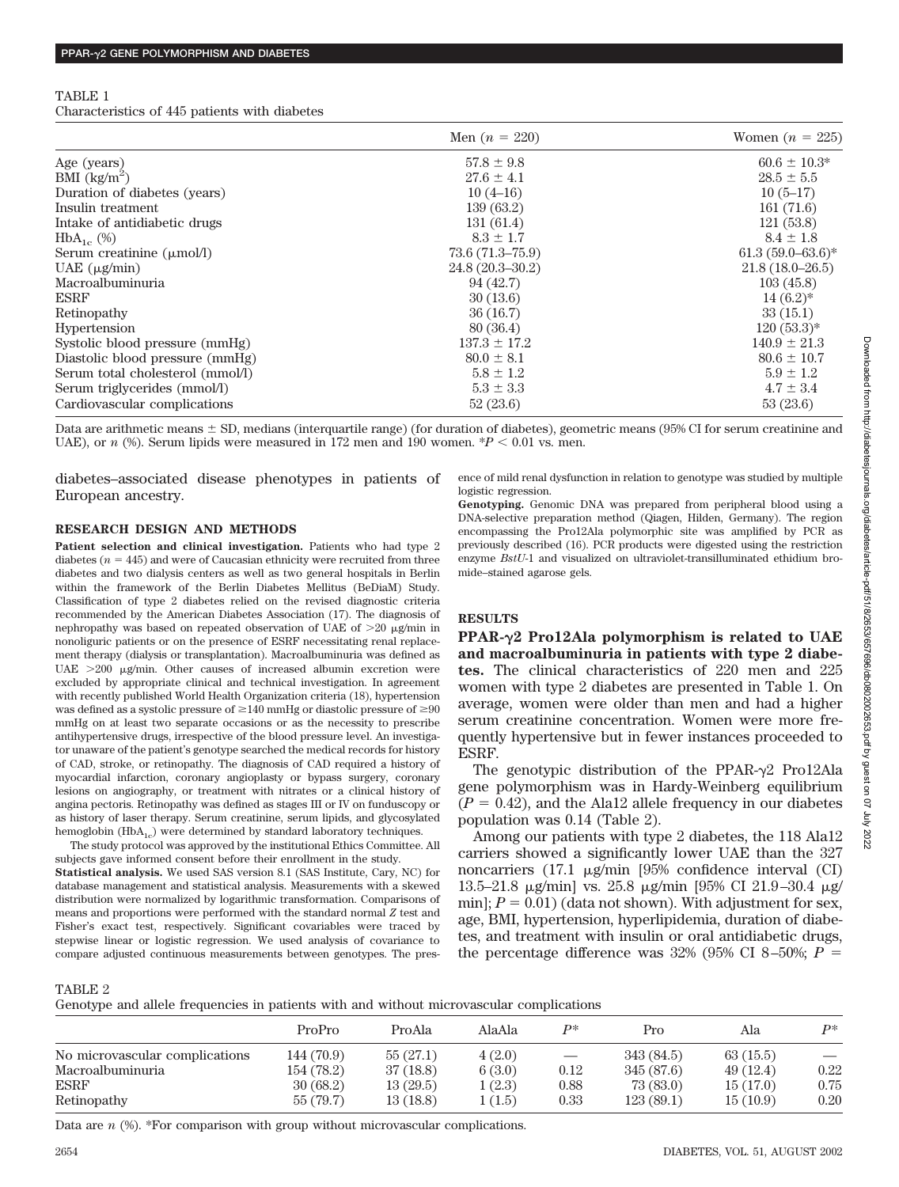### TABLE 1

Characteristics of 445 patients with diabetes

|                                       | Men $(n = 220)$     | Women $(n = 225)$     |  |
|---------------------------------------|---------------------|-----------------------|--|
| Age (years)                           | $57.8 \pm 9.8$      | $60.6 \pm 10.3^*$     |  |
| BMI $\frac{\text{kg}}{\text{m}^2}$    | $27.6 \pm 4.1$      | $28.5 \pm 5.5$        |  |
| Duration of diabetes (years)          | $10(4-16)$          | $10(5-17)$            |  |
| Insulin treatment                     | 139(63.2)           | 161(71.6)             |  |
| Intake of antidiabetic drugs          | 131(61.4)           | 121(53.8)             |  |
| $HbA_{1c}$ (%)                        | $8.3 \pm 1.7$       | $8.4 \pm 1.8$         |  |
| Serum creatinine $(\mu \text{mol/l})$ | $73.6(71.3 - 75.9)$ | $61.3(59.0 - 63.6)^*$ |  |
| UAE $(\mu g/min)$                     | $24.8(20.3 - 30.2)$ | $21.8(18.0 - 26.5)$   |  |
| Macroalbuminuria                      | 94(42.7)            | 103(45.8)             |  |
| <b>ESRF</b>                           | 30(13.6)            | $14(6.2)^{*}$         |  |
| Retinopathy                           | 36(16.7)            | 33(15.1)              |  |
| Hypertension                          | 80(36.4)            | $120(53.3)*$          |  |
| Systolic blood pressure (mmHg)        | $137.3 \pm 17.2$    | $140.9 \pm 21.3$      |  |
| Diastolic blood pressure (mmHg)       | $80.0 \pm 8.1$      | $80.6 \pm 10.7$       |  |
| Serum total cholesterol (mmol/l)      | $5.8 \pm 1.2$       | $5.9 \pm 1.2$         |  |
| Serum triglycerides (mmol/l)          | $5.3 \pm 3.3$       | $4.7 \pm 3.4$         |  |
| Cardiovascular complications          | 52(23.6)            | 53(23.6)              |  |

Data are arithmetic means  $\pm$  SD, medians (interquartile range) (for duration of diabetes), geometric means (95% CI for serum creatinine and UAE), or  $n$  (%). Serum lipids were measured in 172 men and 190 women.  $P < 0.01$  vs. men.

diabetes–associated disease phenotypes in patients of European ancestry.

## ence of mild renal dysfunction in relation to genotype was studied by multiple logistic regression.

#### **RESEARCH DESIGN AND METHODS**

**Patient selection and clinical investigation.** Patients who had type 2 diabetes  $(n = 445)$  and were of Caucasian ethnicity were recruited from three diabetes and two dialysis centers as well as two general hospitals in Berlin within the framework of the Berlin Diabetes Mellitus (BeDiaM) Study. Classification of type 2 diabetes relied on the revised diagnostic criteria recommended by the American Diabetes Association (17). The diagnosis of nephropathy was based on repeated observation of UAE of  $>20$   $\mu$ g/min in nonoliguric patients or on the presence of ESRF necessitating renal replacement therapy (dialysis or transplantation). Macroalbuminuria was defined as UAE  $>200$   $\mu$ g/min. Other causes of increased albumin excretion were excluded by appropriate clinical and technical investigation. In agreement with recently published World Health Organization criteria (18), hypertension was defined as a systolic pressure of  $\geq\!\!140$  mmHg or diastolic pressure of  $\geq\!\!90$ mmHg on at least two separate occasions or as the necessity to prescribe antihypertensive drugs, irrespective of the blood pressure level. An investigator unaware of the patient's genotype searched the medical records for history of CAD, stroke, or retinopathy. The diagnosis of CAD required a history of myocardial infarction, coronary angioplasty or bypass surgery, coronary lesions on angiography, or treatment with nitrates or a clinical history of angina pectoris. Retinopathy was defined as stages III or IV on funduscopy or as history of laser therapy. Serum creatinine, serum lipids, and glycosylated hemoglobin  $(HbA_{1c})$  were determined by standard laboratory techniques.

The study protocol was approved by the institutional Ethics Committee. All subjects gave informed consent before their enrollment in the study. **Statistical analysis.** We used SAS version 8.1 (SAS Institute, Cary, NC) for database management and statistical analysis. Measurements with a skewed distribution were normalized by logarithmic transformation. Comparisons of means and proportions were performed with the standard normal *Z* test and Fisher's exact test, respectively. Significant covariables were traced by stepwise linear or logistic regression. We used analysis of covariance to compare adjusted continuous measurements between genotypes. The pres**Genotyping.** Genomic DNA was prepared from peripheral blood using a DNA-selective preparation method (Qiagen, Hilden, Germany). The region encompassing the Pro12Ala polymorphic site was amplified by PCR as previously described (16). PCR products were digested using the restriction enzyme *BstU*-1 and visualized on ultraviolet-transilluminated ethidium bromide–stained agarose gels.

## **RESULTS**

**PPAR-2 Pro12Ala polymorphism is related to UAE and macroalbuminuria in patients with type 2 diabetes.** The clinical characteristics of 220 men and 225 women with type 2 diabetes are presented in Table 1. On average, women were older than men and had a higher serum creatinine concentration. Women were more frequently hypertensive but in fewer instances proceeded to ESRF.

The genotypic distribution of the PPAR- $\gamma$ 2 Pro12Ala gene polymorphism was in Hardy-Weinberg equilibrium  $(P = 0.42)$ , and the Ala12 allele frequency in our diabetes population was 0.14 (Table 2).

Among our patients with type 2 diabetes, the 118 Ala12 carriers showed a significantly lower UAE than the 327 noncarriers  $(17.1 \mu g/\text{min}$  [95% confidence interval (CI) 13.5–21.8 μg/min] vs. 25.8 μg/min [95% CI 21.9–30.4 μg/  $min$ ;  $P = 0.01$ ) (data not shown). With adjustment for sex, age, BMI, hypertension, hyperlipidemia, duration of diabetes, and treatment with insulin or oral antidiabetic drugs, the percentage difference was  $32\%$  (95% CI 8–50%;  $P =$ 

#### TABLE 2

Genotype and allele frequencies in patients with and without microvascular complications

|                                | ProPro     | ProAla   | AlaAla | p*                | Pro        | Ala      | $\mathbf{p}$             |
|--------------------------------|------------|----------|--------|-------------------|------------|----------|--------------------------|
| No microvascular complications | 144 (70.9) | 55(27.1) | 4(2.0) | $\hspace{0.05cm}$ | 343 (84.5) | 63(15.5) | $\overline{\phantom{m}}$ |
| Macroalbuminuria               | 154 (78.2) | 37(18.8) | 6(3.0) | 0.12              | 345 (87.6) | 49(12.4) | 0.22                     |
| <b>ESRF</b>                    | 30(68.2)   | 13(29.5) | (2.3)  | 0.88              | 73(83.0)   | 15(17.0) | 0.75                     |
| Retinopathy                    | 55 (79.7)  | 13(18.8) | (1.5)  | 0.33              | 123(89.1)  | 15(10.9) | 0.20                     |

Data are *n* (%). \*For comparison with group without microvascular complications.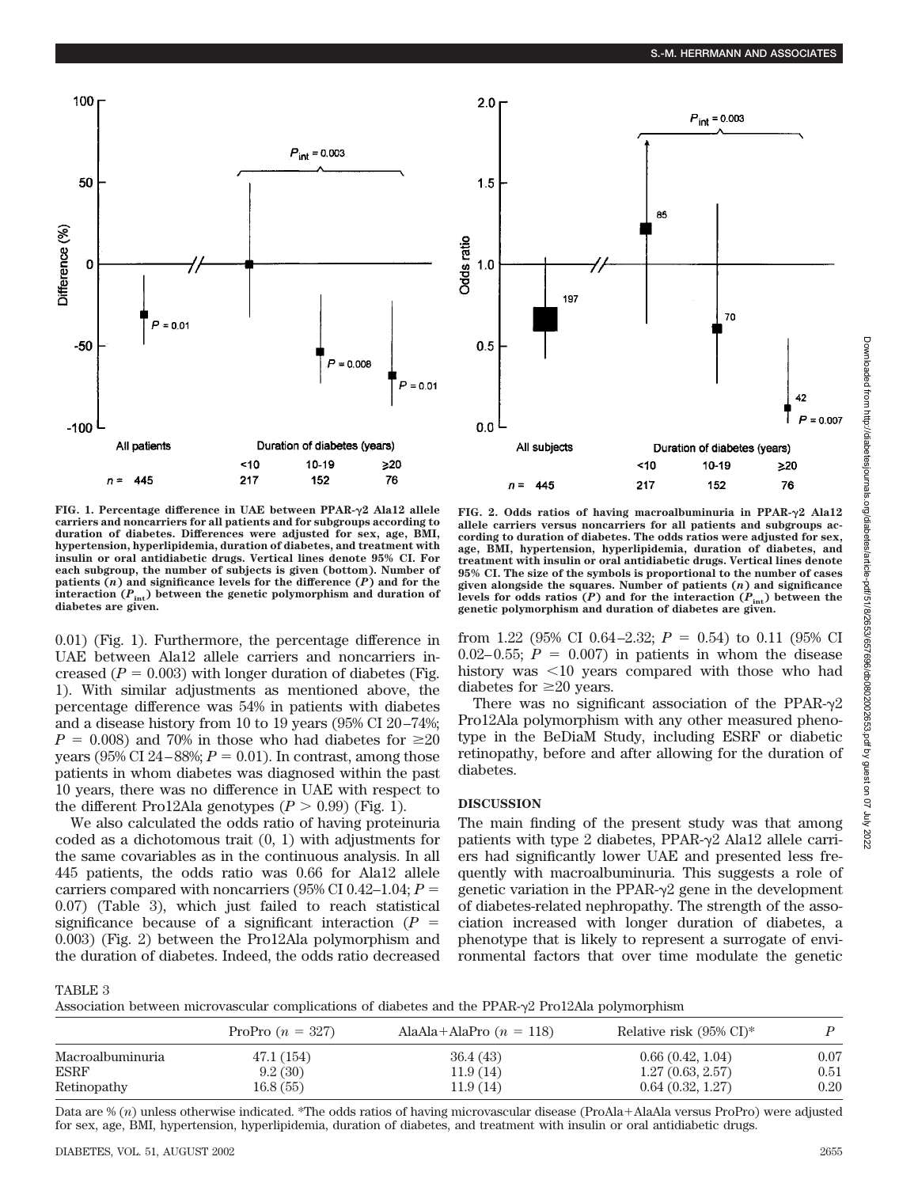

**FIG. 1. Percentage difference in UAE between PPAR-2 Ala12 allele carriers and noncarriers for all patients and for subgroups according to duration of diabetes. Differences were adjusted for sex, age, BMI, hypertension, hyperlipidemia, duration of diabetes, and treatment with insulin or oral antidiabetic drugs. Vertical lines denote 95% CI. For each subgroup, the number of subjects is given (bottom). Number of patients (***n***) and significance levels for the difference (***P***) and for the** interaction  $(P_{int})$  between the genetic polymorphism and duration of **diabetes are given.**

0.01) (Fig. 1). Furthermore, the percentage difference in UAE between Ala12 allele carriers and noncarriers increased  $(P = 0.003)$  with longer duration of diabetes (Fig. 1). With similar adjustments as mentioned above, the percentage difference was 54% in patients with diabetes and a disease history from 10 to 19 years (95% CI 20–74%;  $P = 0.008$ ) and 70% in those who had diabetes for  $\geq 20$ years ( $95\%$  CI  $24-88\%; P = 0.01$ ). In contrast, among those patients in whom diabetes was diagnosed within the past 10 years, there was no difference in UAE with respect to the different Pro12Ala genotypes  $(P > 0.99)$  (Fig. 1).

We also calculated the odds ratio of having proteinuria coded as a dichotomous trait (0, 1) with adjustments for the same covariables as in the continuous analysis. In all 445 patients, the odds ratio was 0.66 for Ala12 allele carriers compared with noncarriers ( $95\%$  CI 0.42–1.04;  $P =$ 0.07) (Table 3), which just failed to reach statistical significance because of a significant interaction  $(P =$ 0.003) (Fig. 2) between the Pro12Ala polymorphism and the duration of diabetes. Indeed, the odds ratio decreased

**FIG. 2. Odds ratios of having macroalbuminuria in PPAR-2 Ala12 allele carriers versus noncarriers for all patients and subgroups according to duration of diabetes. The odds ratios were adjusted for sex, age, BMI, hypertension, hyperlipidemia, duration of diabetes, and treatment with insulin or oral antidiabetic drugs. Vertical lines denote 95% CI. The size of the symbols is proportional to the number of cases given alongside the squares. Number of patients (***n***) and significance** levels for odds ratios  $(P)$  and for the interaction  $(P_{int})$  between the **genetic polymorphism and duration of diabetes are given.**

from 1.22 (95% CI 0.64–2.32;  $P = 0.54$ ) to 0.11 (95% CI  $0.02-0.55$ ;  $P = 0.007$ ) in patients in whom the disease history was  $\leq 10$  years compared with those who had diabetes for  $\geq 20$  years.

There was no significant association of the PPAR- $\gamma$ 2 Pro12Ala polymorphism with any other measured phenotype in the BeDiaM Study, including ESRF or diabetic retinopathy, before and after allowing for the duration of diabetes.

## **DISCUSSION**

The main finding of the present study was that among patients with type 2 diabetes, PPAR- $\gamma$ 2 Ala12 allele carriers had significantly lower UAE and presented less frequently with macroalbuminuria. This suggests a role of genetic variation in the PPAR- $\gamma$ 2 gene in the development of diabetes-related nephropathy. The strength of the association increased with longer duration of diabetes, a phenotype that is likely to represent a surrogate of environmental factors that over time modulate the genetic

TABLE 3

Association between microvascular complications of diabetes and the PPAR- $\gamma$ 2 Pro12Ala polymorphism

|                  | ProPro $(n = 327)$ | AlaAla+AlaPro $(n = 118)$ | Relative risk $(95\% \text{ CI})^*$ |      |
|------------------|--------------------|---------------------------|-------------------------------------|------|
| Macroalbuminuria | 47.1 (154)         | 36.4(43)                  | 0.66(0.42, 1.04)                    | 0.07 |
| <b>ESRF</b>      | 9.2(30)            | 11.9(14)                  | 1.27(0.63, 2.57)                    | 0.51 |
| Retinopathy      | 16.8(55)           | 11.9(14)                  | 0.64(0.32, 1.27)                    | 0.20 |

Data are % (n) unless otherwise indicated. \*The odds ratios of having microvascular disease (ProAla+AlaAla versus ProPro) were adjusted for sex, age, BMI, hypertension, hyperlipidemia, duration of diabetes, and treatment with insulin or oral antidiabetic drugs.

42  $P = 0.007$ 

 $\geq 20$ 

76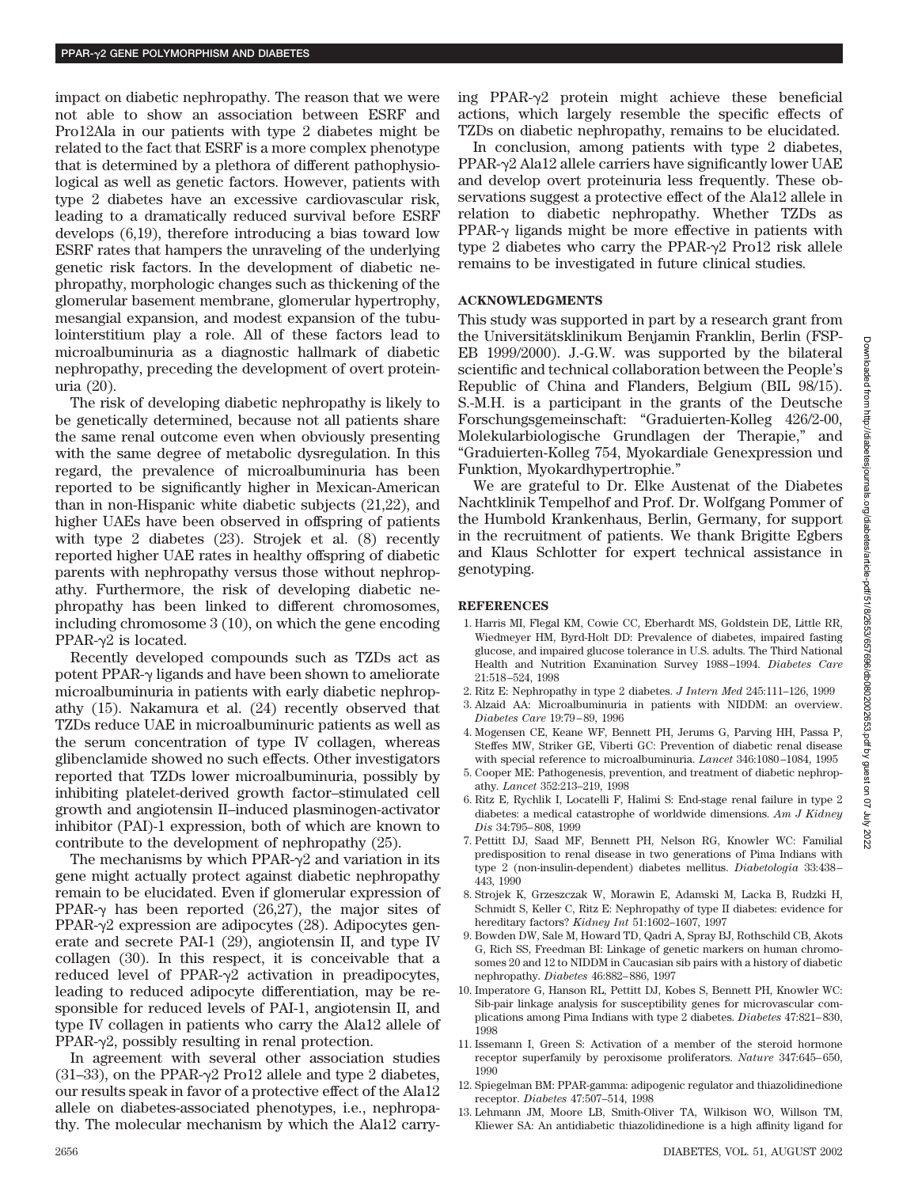impact on diabetic nephropathy. The reason that we were not able to show an association between ESRF and Pro12Ala in our patients with type 2 diabetes might be related to the fact that ESRF is a more complex phenotype that is determined by a plethora of different pathophysiological as well as genetic factors. However, patients with type 2 diabetes have an excessive cardiovascular risk, leading to a dramatically reduced survival before ESRF develops (6,19), therefore introducing a bias toward low ESRF rates that hampers the unraveling of the underlying genetic risk factors. In the development of diabetic nephropathy, morphologic changes such as thickening of the glomerular basement membrane, glomerular hypertrophy, mesangial expansion, and modest expansion of the tubulointerstitium play a role. All of these factors lead to microalbuminuria as a diagnostic hallmark of diabetic nephropathy, preceding the development of overt proteinuria (20).

The risk of developing diabetic nephropathy is likely to be genetically determined, because not all patients share the same renal outcome even when obviously presenting with the same degree of metabolic dysregulation. In this regard, the prevalence of microalbuminuria has been reported to be significantly higher in Mexican-American than in non-Hispanic white diabetic subjects (21,22), and higher UAEs have been observed in offspring of patients with type 2 diabetes (23). Strojek et al. (8) recently reported higher UAE rates in healthy offspring of diabetic parents with nephropathy versus those without nephropathy. Furthermore, the risk of developing diabetic nephropathy has been linked to different chromosomes, including chromosome 3 (10), on which the gene encoding PPAR- $\nu$ 2 is located.

Recently developed compounds such as TZDs act as potent PPAR- $\gamma$  ligands and have been shown to ameliorate microalbuminuria in patients with early diabetic nephropathy (15). Nakamura et al. (24) recently observed that TZDs reduce UAE in microalbuminuric patients as well as the serum concentration of type IV collagen, whereas glibenclamide showed no such effects. Other investigators reported that TZDs lower microalbuminuria, possibly by inhibiting platelet-derived growth factor–stimulated cell growth and angiotensin II–induced plasminogen-activator inhibitor (PAI)-1 expression, both of which are known to contribute to the development of nephropathy (25).

The mechanisms by which PPAR- $\gamma$ 2 and variation in its gene might actually protect against diabetic nephropathy remain to be elucidated. Even if glomerular expression of PPAR- $\gamma$  has been reported (26,27), the major sites of PPAR- $\gamma$ 2 expression are adipocytes (28). Adipocytes generate and secrete PAI-1 (29), angiotensin II, and type IV collagen (30). In this respect, it is conceivable that a reduced level of PPAR- $\gamma$ 2 activation in preadipocytes, leading to reduced adipocyte differentiation, may be responsible for reduced levels of PAI-1, angiotensin II, and type IV collagen in patients who carry the Ala12 allele of  $PPAR-\gamma2$ , possibly resulting in renal protection.

In agreement with several other association studies (31–33), on the PPAR- $\gamma$ 2 Pro12 allele and type 2 diabetes, our results speak in favor of a protective effect of the Ala12 allele on diabetes-associated phenotypes, i.e., nephropathy. The molecular mechanism by which the Ala12 carrying PPAR- $\gamma$ 2 protein might achieve these beneficial actions, which largely resemble the specific effects of TZDs on diabetic nephropathy, remains to be elucidated.

In conclusion, among patients with type 2 diabetes, PPAR- $\gamma$ 2 Ala12 allele carriers have significantly lower UAE and develop overt proteinuria less frequently. These observations suggest a protective effect of the Ala12 allele in relation to diabetic nephropathy. Whether TZDs as PPAR- $\gamma$  ligands might be more effective in patients with type 2 diabetes who carry the PPAR- $\gamma$ 2 Pro12 risk allele remains to be investigated in future clinical studies.

## **ACKNOWLEDGMENTS**

This study was supported in part by a research grant from the Universitätsklinikum Benjamin Franklin, Berlin (FSP-EB 1999/2000). J.-G.W. was supported by the bilateral scientific and technical collaboration between the People's Republic of China and Flanders, Belgium (BIL 98/15). S.-M.H. is a participant in the grants of the Deutsche Forschungsgemeinschaft: "Graduierten-Kolleg 426/2-00, Molekularbiologische Grundlagen der Therapie," and "Graduierten-Kolleg 754, Myokardiale Genexpression und Funktion, Myokardhypertrophie."

We are grateful to Dr. Elke Austenat of the Diabetes Nachtklinik Tempelhof and Prof. Dr. Wolfgang Pommer of the Humbold Krankenhaus, Berlin, Germany, for support in the recruitment of patients. We thank Brigitte Egbers and Klaus Schlotter for expert technical assistance in genotyping.

## **REFERENCES**

- 1. Harris MI, Flegal KM, Cowie CC, Eberhardt MS, Goldstein DE, Little RR, Wiedmeyer HM, Byrd-Holt DD: Prevalence of diabetes, impaired fasting glucose, and impaired glucose tolerance in U.S. adults. The Third National Health and Nutrition Examination Survey 1988–1994. *Diabetes Care* 21:518–524, 1998
- 2. Ritz E: Nephropathy in type 2 diabetes. *J Intern Med* 245:111–126, 1999
- 3. Alzaid AA: Microalbuminuria in patients with NIDDM: an overview. *Diabetes Care* 19:79–89, 1996
- 4. Mogensen CE, Keane WF, Bennett PH, Jerums G, Parving HH, Passa P, Steffes MW, Striker GE, Viberti GC: Prevention of diabetic renal disease with special reference to microalbuminuria. *Lancet* 346:1080–1084, 1995
- 5. Cooper ME: Pathogenesis, prevention, and treatment of diabetic nephropathy. *Lancet* 352:213–219, 1998
- 6. Ritz E, Rychlik I, Locatelli F, Halimi S: End-stage renal failure in type 2 diabetes: a medical catastrophe of worldwide dimensions. *Am J Kidney Dis* 34:795–808, 1999
- 7. Pettitt DJ, Saad MF, Bennett PH, Nelson RG, Knowler WC: Familial predisposition to renal disease in two generations of Pima Indians with type 2 (non-insulin-dependent) diabetes mellitus. *Diabetologia* 33:438– 443, 1990
- 8. Strojek K, Grzeszczak W, Morawin E, Adamski M, Lacka B, Rudzki H, Schmidt S, Keller C, Ritz E: Nephropathy of type II diabetes: evidence for hereditary factors? *Kidney Int* 51:1602–1607, 1997
- 9. Bowden DW, Sale M, Howard TD, Qadri A, Spray BJ, Rothschild CB, Akots G, Rich SS, Freedman BI: Linkage of genetic markers on human chromosomes 20 and 12 to NIDDM in Caucasian sib pairs with a history of diabetic nephropathy. *Diabetes* 46:882–886, 1997
- 10. Imperatore G, Hanson RL, Pettitt DJ, Kobes S, Bennett PH, Knowler WC: Sib-pair linkage analysis for susceptibility genes for microvascular complications among Pima Indians with type 2 diabetes. *Diabetes* 47:821–830, 1998
- 11. Issemann I, Green S: Activation of a member of the steroid hormone receptor superfamily by peroxisome proliferators. *Nature* 347:645–650, 1990
- 12. Spiegelman BM: PPAR-gamma: adipogenic regulator and thiazolidinedione receptor. *Diabetes* 47:507–514, 1998
- 13. Lehmann JM, Moore LB, Smith-Oliver TA, Wilkison WO, Willson TM, Kliewer SA: An antidiabetic thiazolidinedione is a high affinity ligand for